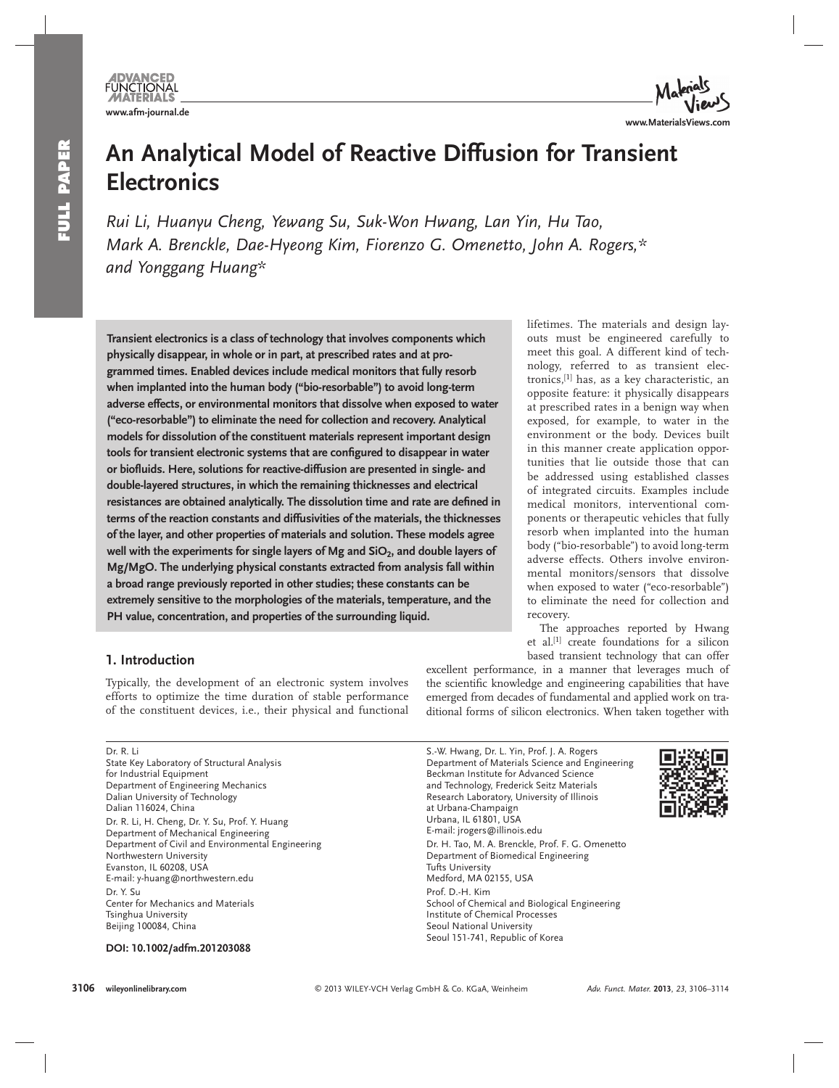**MATERIALS** 



# **An Analytical Model of Reactive Diffusion for Transient Electronics**

 *Rui Li , Huanyu Cheng , Yewang Su , Suk-Won Hwang , Lan Yin , Hu Tao , Mark A. Brenckle, Dae-Hyeong Kim, Fiorenzo G. Omenetto, John A. Rogers,\** and Yonggang Huang\*

 **Transient electronics is a class of technology that involves components which physically disappear, in whole or in part, at prescribed rates and at programmed times. Enabled devices include medical monitors that fully resorb when implanted into the human body ("bio-resorbable") to avoid long-term adverse effects, or environmental monitors that dissolve when exposed to water ("eco-resorbable") to eliminate the need for collection and recovery. Analytical models for dissolution of the constituent materials represent important design**  tools for transient electronic systems that are configured to disappear in water **or biofl uids. Here, solutions for reactive-diffusion are presented in single- and double-layered structures, in which the remaining thicknesses and electrical**  resistances are obtained analytically. The dissolution time and rate are defined in **terms of the reaction constants and diffusivities of the materials, the thicknesses of the layer, and other properties of materials and solution. These models agree**  well with the experiments for single layers of Mg and SiO<sub>2</sub>, and double layers of **Mg/MgO. The underlying physical constants extracted from analysis fall within a broad range previously reported in other studies; these constants can be extremely sensitive to the morphologies of the materials, temperature, and the PH value, concentration, and properties of the surrounding liquid.** 

### lifetimes. The materials and design layouts must be engineered carefully to meet this goal. A different kind of technology, referred to as transient electronics,<sup>[1]</sup> has, as a key characteristic, an opposite feature: it physically disappears at prescribed rates in a benign way when exposed, for example, to water in the environment or the body. Devices built in this manner create application opportunities that lie outside those that can be addressed using established classes of integrated circuits. Examples include medical monitors, interventional components or therapeutic vehicles that fully resorb when implanted into the human body ("bio-resorbable") to avoid long-term adverse effects. Others involve environmental monitors/sensors that dissolve when exposed to water ("eco-resorbable") to eliminate the need for collection and recovery.

 The approaches reported by Hwang et al.<sup>[1]</sup> create foundations for a silicon based transient technology that can offer

# **1. Introduction**

 Typically, the development of an electronic system involves efforts to optimize the time duration of stable performance of the constituent devices, i.e., their physical and functional

 Dr. R. Li State Key Laboratory of Structural Analysis for Industrial Equipment Department of Engineering Mechanics Dalian University of Technology Dalian 116024, China Dr. R. Li, H. Cheng, Dr. Y. Su, Prof. Y. Huang Department of Mechanical Engineering Department of Civil and Environmental Engineering Northwestern University Evanston, IL 60208, USA E-mail: y-huang@northwestern.edu Dr. Y. Su Center for Mechanics and Materials Tsinghua University Beijing 100084, China

 **DOI: 10.1002/adfm.201203088** 

excellent performance, in a manner that leverages much of the scientific knowledge and engineering capabilities that have emerged from decades of fundamental and applied work on traditional forms of silicon electronics. When taken together with

 S.-W. Hwang, Dr. L. Yin, Prof. J. A. Rogers Department of Materials Science and Engineering Beckman Institute for Advanced Science and Technology, Frederick Seitz Materials Research Laboratory, University of Illinois at Urbana-Champaign Urbana, IL 61801, USA E-mail: jrogers@illinois.edu Dr. H. Tao, M. A. Brenckle, Prof. F. G. Omenetto Department of Biomedical Engineering Tufts University Medford, MA 02155, USA Prof. D.-H. Kim School of Chemical and Biological Engineering Institute of Chemical Processes Seoul National University Seoul 151-741, Republic of Korea

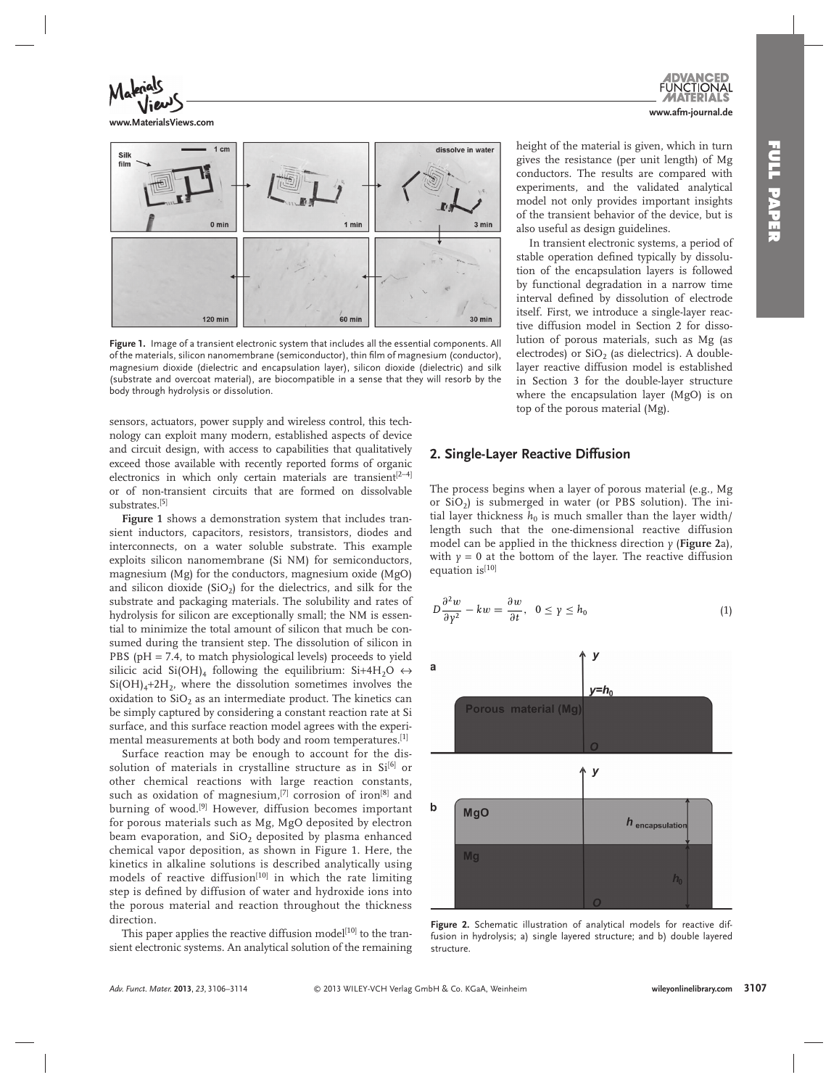

**www.MaterialsViews.com**



Figure 1. Image of a transient electronic system that includes all the essential components. All of the materials, silicon nanomembrane (semiconductor), thin film of magnesium (conductor), magnesium dioxide (dielectric and encapsulation layer), silicon dioxide (dielectric) and silk (substrate and overcoat material), are biocompatible in a sense that they will resorb by the body through hydrolysis or dissolution.

sensors, actuators, power supply and wireless control, this technology can exploit many modern, established aspects of device and circuit design, with access to capabilities that qualitatively exceed those available with recently reported forms of organic electronics in which only certain materials are transient<sup>[2−4]</sup> or of non-transient circuits that are formed on dissolvable substrates.<sup>[5]</sup>

**Figure 1** shows a demonstration system that includes transient inductors, capacitors, resistors, transistors, diodes and interconnects, on a water soluble substrate. This example exploits silicon nanomembrane (Si NM) for semiconductors, magnesium (Mg) for the conductors, magnesium oxide (MgO) and silicon dioxide (SiO<sub>2</sub>) for the dielectrics, and silk for the substrate and packaging materials. The solubility and rates of hydrolysis for silicon are exceptionally small; the NM is essential to minimize the total amount of silicon that much be consumed during the transient step. The dissolution of silicon in PBS ( $pH = 7.4$ , to match physiological levels) proceeds to yield silicic acid Si(OH)<sub>4</sub> following the equilibrium: Si+4H<sub>2</sub>O  $\leftrightarrow$  $Si(OH)<sub>4</sub>+2H<sub>2</sub>$ , where the dissolution sometimes involves the oxidation to  $SiO<sub>2</sub>$  as an intermediate product. The kinetics can be simply captured by considering a constant reaction rate at Si surface, and this surface reaction model agrees with the experimental measurements at both body and room temperatures.<sup>[1]</sup>

 Surface reaction may be enough to account for the dissolution of materials in crystalline structure as in Si<sup>[6]</sup> or other chemical reactions with large reaction constants, such as oxidation of magnesium,  $[7]$  corrosion of iron $[8]$  and burning of wood.<sup>[9]</sup> However, diffusion becomes important for porous materials such as Mg, MgO deposited by electron beam evaporation, and  $SiO<sub>2</sub>$  deposited by plasma enhanced chemical vapor deposition, as shown in Figure 1. Here, the kinetics in alkaline solutions is described analytically using models of reactive diffusion<sup>[10]</sup> in which the rate limiting step is defined by diffusion of water and hydroxide ions into the porous material and reaction throughout the thickness direction.

This paper applies the reactive diffusion model<sup>[10]</sup> to the transient electronic systems. An analytical solution of the remaining height of the material is given, which in turn gives the resistance (per unit length) of Mg conductors. The results are compared with experiments, and the validated analytical model not only provides important insights of the transient behavior of the device, but is also useful as design guidelines.

**www.afm-journal.de**

 In transient electronic systems, a period of stable operation defined typically by dissolution of the encapsulation layers is followed by functional degradation in a narrow time interval defined by dissolution of electrode itself. First, we introduce a single-layer reactive diffusion model in Section 2 for dissolution of porous materials, such as Mg (as electrodes) or  $SiO<sub>2</sub>$  (as dielectrics). A doublelayer reactive diffusion model is established in Section 3 for the double-layer structure where the encapsulation layer (MgO) is on top of the porous material (Mg).

### **2. Single-Layer Reactive Diffusion**

 The process begins when a layer of porous material (e.g., Mg or  $SiO<sub>2</sub>$ ) is submerged in water (or PBS solution). The initial layer thickness  $h_0$  is much smaller than the layer width/ length such that the one-dimensional reactive diffusion model can be applied in the thickness direction  $\gamma$  (**Figure** 2a), with  $y = 0$  at the bottom of the layer. The reactive diffusion equation is[10]

$$
D\frac{\partial^2 w}{\partial y^2} - kw = \frac{\partial w}{\partial t}, \ \ 0 \le y \le h_0 \tag{1}
$$



Figure 2. Schematic illustration of analytical models for reactive diffusion in hydrolysis; a) single layered structure; and b) double layered structure.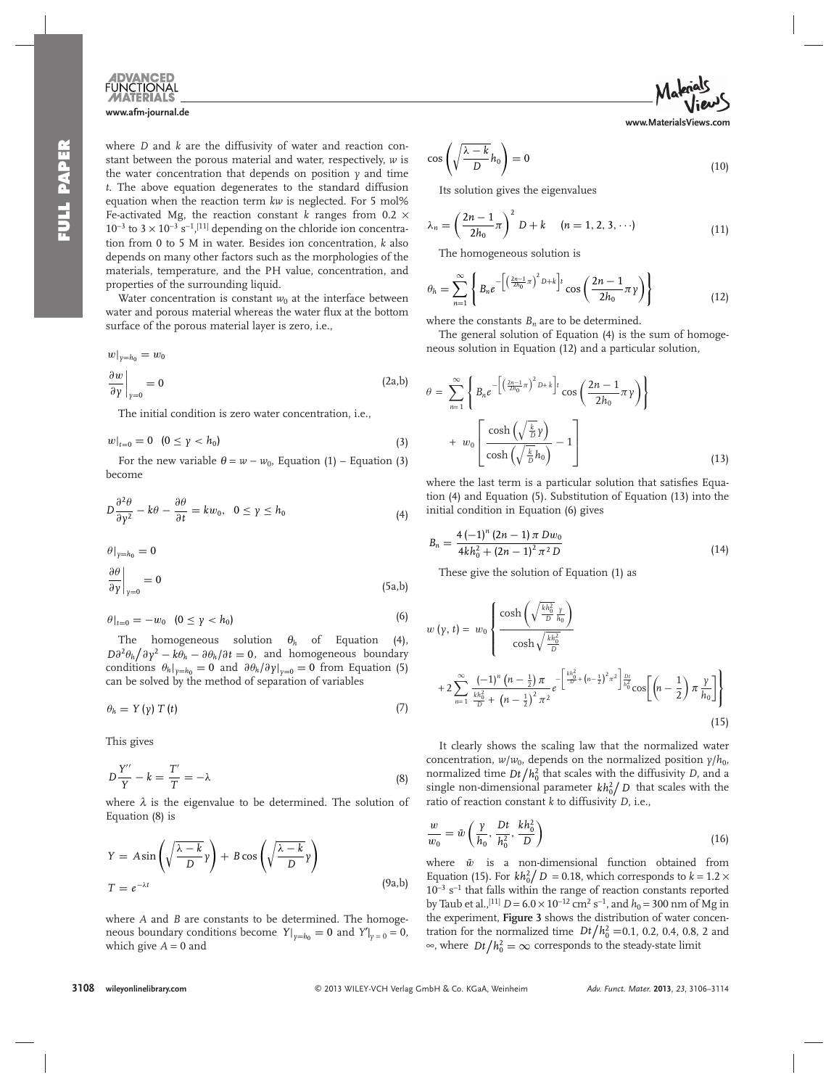

 where *D* and *k* are the diffusivity of water and reaction constant between the porous material and water, respectively, *w* is the water concentration that depends on position *y* and time *t* . The above equation degenerates to the standard diffusion equation when the reaction term *kw* is neglected. For 5 mol% Fe-activated Mg, the reaction constant  $k$  ranges from 0.2  $\times$  $10^{-3}$  to  $3 \times 10^{-3}$  s<sup>-1</sup>,<sup>[11]</sup> depending on the chloride ion concentration from 0 to 5 M in water. Besides ion concentration, *k* also depends on many other factors such as the morphologies of the materials, temperature, and the PH value, concentration, and properties of the surrounding liquid.

Water concentration is constant  $w_0$  at the interface between water and porous material whereas the water flux at the bottom surface of the porous material layer is zero, i.e.,

$$
w|_{\gamma=h_0} = w_0
$$
  
\n
$$
\frac{\partial w}{\partial \gamma}\Big|_{\gamma=0} = 0
$$
\n(2a,b)

The initial condition is zero water concentration, i.e.,

$$
w|_{t=0} = 0 \quad (0 \le \gamma < h_0) \tag{3}
$$

For the new variable  $\theta = w - w_0$ , Equation (1) – Equation (3) become

$$
D\frac{\partial^2 \theta}{\partial y^2} - k\theta - \frac{\partial \theta}{\partial t} = kw_0, \quad 0 \le y \le h_0
$$
\n(4)

$$
\left.\frac{\partial \theta}{\partial \gamma}\right|_{\gamma=0} = 0
$$
\n
$$
\left.\frac{\partial \theta}{\partial \gamma}\right|_{\gamma=0} = 0
$$
\n(5a,b)

$$
\theta|_{t=0} = -w_0 \quad (0 \le \gamma < h_0) \tag{6}
$$

The homogeneous solution  $\theta_h$  of Equation (4),  $D\partial^2 \theta_h / \partial \gamma^2 - k\theta_h - \partial \theta_h / \partial t = 0$ , and homogeneous boundary conditions  $\theta_h|_{v=h_0} = 0$  and  $\partial \theta_h/\partial y|_{v=0} = 0$  from Equation (5) can be solved by the method of separation of variables

$$
\theta_h = Y(\gamma) T(t) \tag{7}
$$

This gives

$$
D\frac{Y''}{Y} - k = \frac{T'}{T} = -\lambda
$$
\n(8)

where  $\lambda$  is the eigenvalue to be determined. The solution of Equation (8) is

$$
Y = A \sin\left(\sqrt{\frac{\lambda - k}{D}} \gamma\right) + B \cos\left(\sqrt{\frac{\lambda - k}{D}} \gamma\right)
$$
  
\n
$$
T = e^{-\lambda t}
$$
\n(9a,b)

where *A* and *B* are constants to be determined. The homogeneous boundary conditions become  $Y|_{y=h_0} = 0$  and  $Y'|_{y=0} = 0$ , which give  $A = 0$  and

$$
\cos\left(\sqrt{\frac{\lambda - k}{D}}h_0\right) = 0\tag{10}
$$

**www.MaterialsViews.com**

Its solution gives the eigenvalues

$$
\lambda_n = \left(\frac{2n-1}{2h_0}\pi\right)^2 D + k \quad (n = 1, 2, 3, \cdots)
$$
 (11)

The homogeneous solution is

$$
\theta_h = \sum_{n=1}^{\infty} \left\{ B_n e^{-\left[ \left( \frac{2n-1}{2h_0} \pi \right)^2 D + k \right] t} \cos \left( \frac{2n-1}{2h_0} \pi \gamma \right) \right\}
$$
(12)

where the constants  $B_n$  are to be determined.

 The general solution of Equation (4) is the sum of homogeneous solution in Equation (12) and a particular solution,

$$
\theta = \sum_{n=1}^{\infty} \left\{ B_n e^{-\left[ \left( \frac{2n-1}{2h_0} \pi \right)^2 D + k \right] t} \cos \left( \frac{2n-1}{2h_0} \pi \gamma \right) \right\} + w_0 \left[ \frac{\cosh \left( \sqrt{\frac{k}{D}} \gamma \right)}{\cosh \left( \sqrt{\frac{k}{D}} h_0 \right)} - 1 \right]
$$
(13)

where the last term is a particular solution that satisfies Equation (4) and Equation (5) . Substitution of Equation (13) into the initial condition in Equation (6) gives

$$
B_n = \frac{4(-1)^n (2n-1) \pi D w_0}{4k h_0^2 + (2n-1)^2 \pi^2 D}
$$
\n(14)

These give the solution of Equation (1) as

$$
w(y, t) = w_0 \left\{ \frac{\cosh\left(\sqrt{\frac{kh_0^2}{D} \frac{y}{h_0}}\right)}{\cosh\sqrt{\frac{kh_0^2}{D}}} + 2 \sum_{n=1}^{\infty} \frac{(-1)^n (n - \frac{1}{2}) \pi}{\frac{kh_0^2}{D} + (n - \frac{1}{2})^2 \pi^2} e^{-\left[\frac{kh_0^2}{D} + (n - \frac{1}{2})^2 \pi^2\right] \frac{Dt}{h_0^2}} \cos\left[\left(n - \frac{1}{2}\right) \pi \frac{y}{h_0}\right] \right\}
$$
\n(15)

 It clearly shows the scaling law that the normalized water concentration,  $w/w_0$ , depends on the normalized position  $\gamma/h_0$ , normalized time  $Dt/h_0^2$  that scales with the diffusivity *D*, and a single non-dimensional parameter  $kh_0^2/D$  that scales with the ratio of reaction constant  $k$  to diffusivity  $D$ , i.e.,

$$
\frac{w}{w_0} = \bar{w} \left( \frac{\gamma}{h_0}, \frac{Dt}{h_0^2}, \frac{kh_0^2}{D} \right)
$$
\n(16)

where  $\bar{w}$  is a non-dimensional function obtained from Equation (15). For  $kh_0^2/D = 0.18$ , which corresponds to  $k = 1.2 \times$ 10<sup>-3</sup> s<sup>-1</sup> that falls within the range of reaction constants reported by Taub et al.,<sup>[11]</sup>  $D = 6.0 \times 10^{-12}$  cm<sup>2</sup> s<sup>-1</sup>, and  $h_0 = 300$  nm of Mg in the experiment, **Figure 3** shows the distribution of water concentration for the normalized time  $Dt/h_0^2 = 0.1, 0.2, 0.4, 0.8, 2$  and ∞, where  $Dt/h_0^2 = \infty$  corresponds to the steady-state limit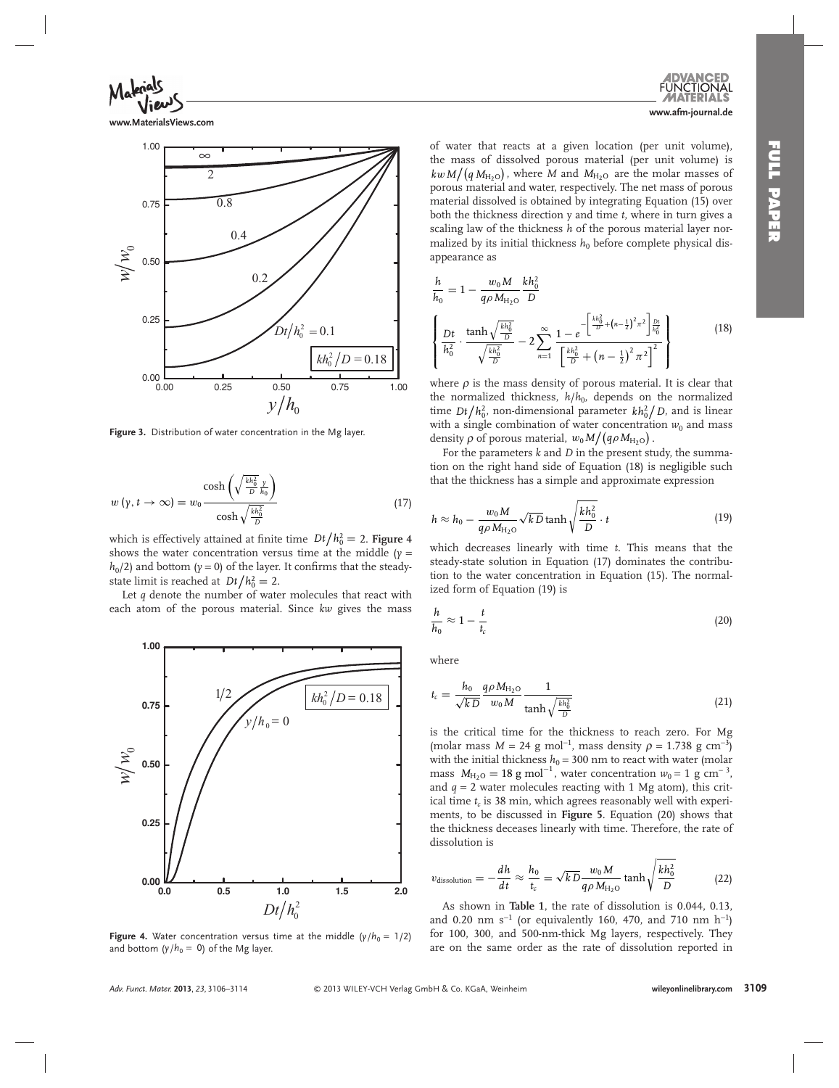

**www.MaterialsViews.com**



Figure 3. Distribution of water concentration in the Mg layer.

$$
w(y, t \to \infty) = w_0 \frac{\cosh\left(\sqrt{\frac{kh_0^2}{D}} \frac{y}{h_0}\right)}{\cosh\sqrt{\frac{kh_0^2}{D}}}
$$
(17)

which is effectively attained at finite time  $Dt/h_0^2 = 2$ . **Figure 4** shows the water concentration versus time at the middle  $(y =$  $h_0$  /2) and bottom ( $\gamma$  = 0) of the layer. It confirms that the steadystate limit is reached at  $Dt/h_0^2 = 2$ .

 Let *q* denote the number of water molecules that react with each atom of the porous material. Since *kw* gives the mass



**Figure 4.** Water concentration versus time at the middle  $(y/h_0 = 1/2)$ and bottom  $(y/h_0 = 0)$  of the Mg layer.

of water that reacts at a given location (per unit volume), the mass of dissolved porous material (per unit volume) is  $kw M/(q M_{\text{H}_2\text{O}})$ , where *M* and  $M_{\text{H}_2\text{O}}$  are the molar masses of porous material and water, respectively. The net mass of porous material dissolved is obtained by integrating Equation (15) over both the thickness direction y and time *t*, where in turn gives a scaling law of the thickness *h* of the porous material layer normalized by its initial thickness  $h_0$  before complete physical disappearance as

$$
\frac{h}{h_0} = 1 - \frac{w_0 M}{q \rho M_{\text{H}_{2O}}} \frac{k h_0^2}{D}
$$
\n
$$
\left\{ \frac{Dt}{h_0^2} \cdot \frac{\tanh\sqrt{\frac{k h_0^2}{D}}}{\sqrt{\frac{k h_0^2}{D}}} - 2 \sum_{n=1}^{\infty} \frac{1 - e^{-\left[\frac{k h_0^2}{D} + \left(n - \frac{1}{2}\right)^2 \pi^2\right] \frac{Dt}{h_0^2}}}{\left[\frac{k h_0^2}{D} + \left(n - \frac{1}{2}\right)^2 \pi^2\right]^2} \right\}
$$
\n(18)

where  $\rho$  is the mass density of porous material. It is clear that the normalized thickness,  $h/h_0$ , depends on the normalized time  $Dt/h_0^2$ , non-dimensional parameter  $kh_0^2/D$ , and is linear with a single combination of water concentration  $w_0$  and mass density  $\rho$  of porous material,  $w_0 M/(q \rho M_{\text{H}_2\text{O}})$ .

 For the parameters *k* and *D* in the present study, the summation on the right hand side of Equation (18) is negligible such that the thickness has a simple and approximate expression

$$
h \approx h_0 - \frac{w_0 M}{q \rho M_{\text{H}_2\text{O}}} \sqrt{k} \, \text{tanh}\sqrt{\frac{k h_0^2}{D}} \cdot t \tag{19}
$$

which decreases linearly with time *t*. This means that the steady-state solution in Equation (17) dominates the contribution to the water concentration in Equation (15). The normalized form of Equation (19) is

$$
\frac{h}{h_0} \approx 1 - \frac{t}{t_c} \tag{20}
$$

where

$$
t_c = \frac{h_0}{\sqrt{k}D} \frac{q \rho M_{\text{H}_2\text{O}}}{w_0 M} \frac{1}{\tanh\sqrt{\frac{k h_0^2}{D}}}
$$
(21)

is the critical time for the thickness to reach zero. For Mg (molar mass  $M = 24$  g mol<sup>-1</sup>, mass density  $\rho = 1.738$  g cm<sup>-3</sup>) with the initial thickness  $h_0 = 300$  nm to react with water (molar mass  $M_{\text{H}_2\text{O}} = 18 \text{ g mol}^{-1}$ , water concentration  $w_0 = 1 \text{ g cm}^{-3}$ , and  $q = 2$  water molecules reacting with 1 Mg atom), this critical time  $t_c$  is 38 min, which agrees reasonably well with experiments, to be discussed in **Figure 5** . Equation (20) shows that the thickness deceases linearly with time. Therefore, the rate of dissolution is

$$
v_{\text{dissolution}} = -\frac{dh}{dt} \approx \frac{h_0}{t_c} = \sqrt{k} \frac{w_0 M}{q \rho M_{\text{H}_2\text{O}}} \tanh\sqrt{\frac{k h_0^2}{D}} \tag{22}
$$

 As shown in **Table 1** , the rate of dissolution is 0.044, 0.13, and 0.20 nm s<sup>-1</sup> (or equivalently 160, 470, and 710 nm h<sup>-1</sup>) for 100, 300, and 500-nm-thick Mg layers, respectively. They are on the same order as the rate of dissolution reported in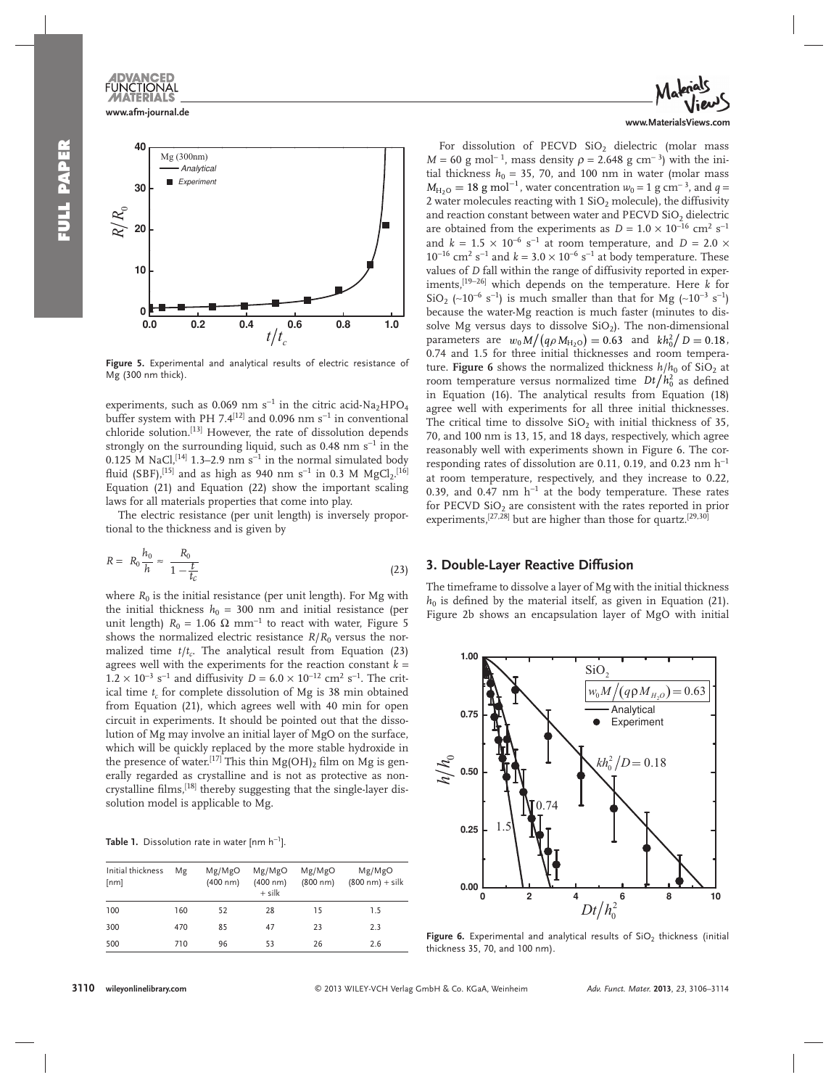

Figure 5. Experimental and analytical results of electric resistance of Mg (300 nm thick).

experiments, such as 0.069 nm s<sup>-1</sup> in the citric acid-Na<sub>2</sub>HPO<sub>4</sub> buffer system with PH 7.4 $[12]$  and 0.096 nm s<sup>-1</sup> in conventional chloride solution.<sup>[13]</sup> However, the rate of dissolution depends strongly on the surrounding liquid, such as  $0.48$  nm s<sup>-1</sup> in the  $0.125$  M NaCl,  $[14]$  1.3–2.9 nm s<sup>-1</sup> in the normal simulated body fluid (SBF), $^{[15]}$  and as high as 940 nm s<sup>-1</sup> in 0.3 M MgCl<sub>2</sub>.<sup>[16]</sup> Equation (21) and Equation (22) show the important scaling laws for all materials properties that come into play.

 The electric resistance (per unit length) is inversely proportional to the thickness and is given by

$$
R = R_0 \frac{h_0}{h} \approx \frac{R_0}{1 - \frac{t}{t_c}}
$$
\n(23)

where  $R_0$  is the initial resistance (per unit length). For Mg with the initial thickness  $h_0 = 300$  nm and initial resistance (per unit length)  $R_0 = 1.06$  Ω mm<sup>-1</sup> to react with water, Figure 5 shows the normalized electric resistance  $R/R<sub>0</sub>$  versus the normalized time  $t/t_c$ . The analytical result from Equation (23) agrees well with the experiments for the reaction constant  $k =$  $1.2 \times 10^{-3}$  s<sup>-1</sup> and diffusivity *D* = 6.0 × 10<sup>-12</sup> cm<sup>2</sup> s<sup>-1</sup>. The critical time  $t_c$  for complete dissolution of Mg is 38 min obtained from Equation (21), which agrees well with 40 min for open circuit in experiments. It should be pointed out that the dissolution of Mg may involve an initial layer of MgO on the surface, which will be quickly replaced by the more stable hydroxide in the presence of water.<sup>[17]</sup> This thin  $Mg(OH)_2$  film on Mg is generally regarded as crystalline and is not as protective as noncrystalline films,<sup>[18]</sup> thereby suggesting that the single-layer dissolution model is applicable to Mg.

**Table 1.** Dissolution rate in water  $[nm h^{-1}]$ .

| Initial thickness<br>[nm] | Μg  | Mg/MgO<br>(400 nm) | Mg/MgO<br>(400 nm)<br>$+$ silk | Mg/MgO<br>(800 nm) | Mg/MgO<br>$(800 nm) +$ silk |
|---------------------------|-----|--------------------|--------------------------------|--------------------|-----------------------------|
| 100                       | 160 | 52                 | 28                             | 15                 | 1.5                         |
| 300                       | 470 | 85                 | 47                             | 23                 | 2.3                         |
| 500                       | 710 | 96                 | 53                             | 26                 | 2.6                         |



For dissolution of PECVD SiO<sub>2</sub> dielectric (molar mass  $M = 60$  g mol<sup>-1</sup>, mass density  $\rho = 2.648$  g cm<sup>-3</sup>) with the initial thickness  $h_0 = 35, 70,$  and 100 nm in water (molar mass  $M_{\text{H}_2\text{O}} = 18 \text{ g mol}^{-1}$ , water concentration  $w_0 = 1 \text{ g cm}^{-3}$ , and  $q =$ 2 water molecules reacting with 1  $SiO<sub>2</sub>$  molecule), the diffusivity and reaction constant between water and PECVD SiO<sub>2</sub> dielectric are obtained from the experiments as  $D = 1.0 \times 10^{-16}$  cm<sup>2</sup> s<sup>-1</sup> and  $k = 1.5 \times 10^{-6}$  s<sup>-1</sup> at room temperature, and  $D = 2.0 \times$  $10^{-16}$  cm<sup>2</sup> s<sup>-1</sup> and  $k = 3.0 \times 10^{-6}$  s<sup>-1</sup> at body temperature. These values of *D* fall within the range of diffusivity reported in experiments, [19−26] which depends on the temperature. Here *k* for  $\text{SiO}_2$  (~10<sup>-6</sup> s<sup>-1</sup>) is much smaller than that for Mg (~10<sup>-3</sup> s<sup>-1</sup>) because the water-Mg reaction is much faster (minutes to dissolve Mg versus days to dissolve  $SiO<sub>2</sub>$ ). The non-dimensional parameters are  $w_0 M / (q \rho M_{H_2O}) = 0.63$  and  $kh_0^2 / D = 0.18$ , 0.74 and 1.5 for three initial thicknesses and room temperature. **Figure 6** shows the normalized thickness  $h/h_0$  of SiO<sub>2</sub> at room temperature versus normalized time  $Dt/h_0^2$  as defined in Equation (16). The analytical results from Equation (18) agree well with experiments for all three initial thicknesses. The critical time to dissolve  $SiO<sub>2</sub>$  with initial thickness of 35, 70, and 100 nm is 13, 15, and 18 days, respectively, which agree reasonably well with experiments shown in Figure 6. The corresponding rates of dissolution are 0.11, 0.19, and 0.23 nm  $h^{-1}$ at room temperature, respectively, and they increase to 0.22, 0.39, and 0.47 nm  $h^{-1}$  at the body temperature. These rates for PECVD  $SiO<sub>2</sub>$  are consistent with the rates reported in prior experiments,<sup>[27,28]</sup> but are higher than those for quartz.<sup>[29,30]</sup>

# **3. Double-Layer Reactive Diffusion**

 The timeframe to dissolve a layer of Mg with the initial thickness  $h_0$  is defined by the material itself, as given in Equation (21). Figure 2b shows an encapsulation layer of MgO with initial



Figure 6. Experimental and analytical results of SiO<sub>2</sub> thickness (initial thickness 35, 70, and 100 nm).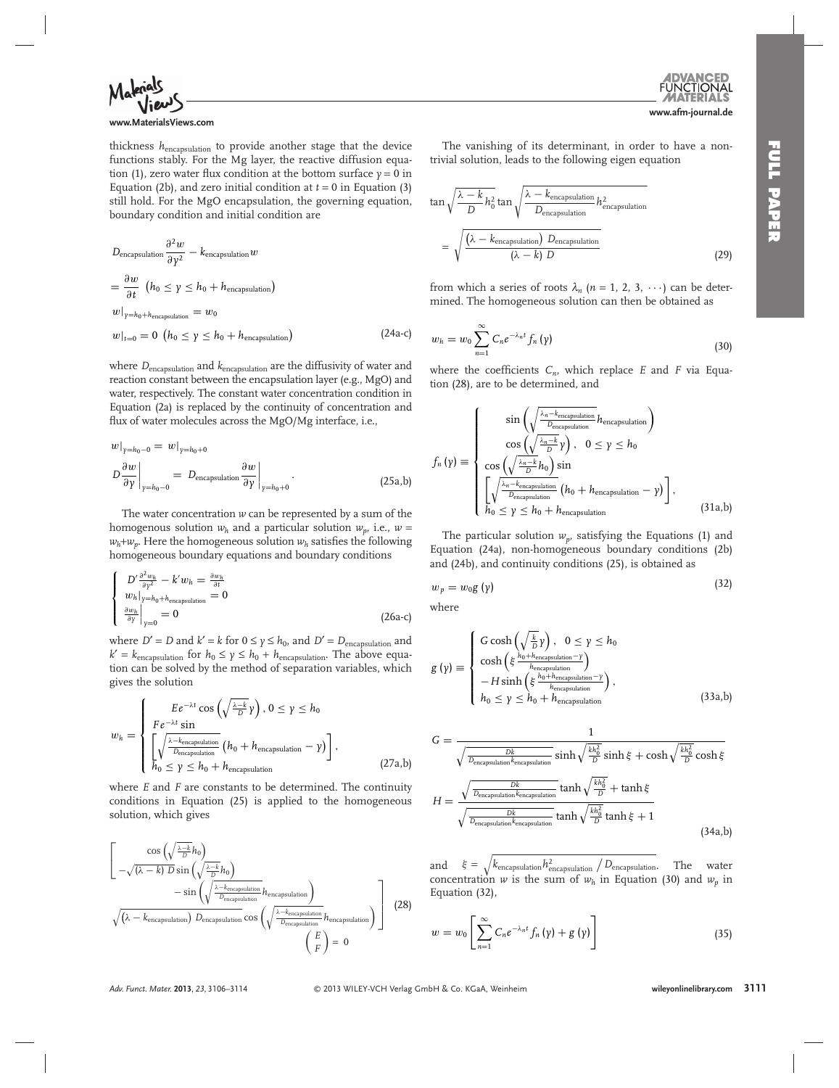

#### **www.MaterialsViews.com**

thickness *h*encapsulation to provide another stage that the device functions stably. For the Mg layer, the reactive diffusion equation (1), zero water flux condition at the bottom surface  $y = 0$  in Equation (2b), and zero initial condition at  $t = 0$  in Equation (3) still hold. For the MgO encapsulation, the governing equation, boundary condition and initial condition are

$$
D_{\text{encapsulation}} \frac{\partial^2 w}{\partial \gamma^2} - k_{\text{encapsulation}} w
$$
  
=  $\frac{\partial w}{\partial t} \left( h_0 \le \gamma \le h_0 + h_{\text{encapsulation}} \right)$   
 $w|_{\gamma=h_0+h_{\text{encapsulation}}} = w_0$   
 $w|_{t=0} = 0 \left( h_0 \le \gamma \le h_0 + h_{\text{encapsulation}} \right)$  (24a-c)

where *D*encapsulation and *k*encapsulation are the diffusivity of water and reaction constant between the encapsulation layer (e.g., MgO) and water, respectively. The constant water concentration condition in Equation (2a) is replaced by the continuity of concentration and flux of water molecules across the MgO/Mg interface, i.e.,

$$
w|_{y=h_0-0} = w|_{y=h_0+0}
$$
  
\n
$$
D\frac{\partial w}{\partial y}\Big|_{y=h_0-0} = D_{\text{encapsulation}}\frac{\partial w}{\partial y}\Big|_{y=h_0+0}.
$$
 (25a,b)

 The water concentration *w* can be represented by a sum of the homogenous solution  $w_h$  and a particular solution  $w_p$ , i.e.,  $w =$  $w_h + w_p$ . Here the homogeneous solution  $w_h$  satisfies the following homogeneous boundary equations and boundary conditions

$$
\begin{cases}\nD' \frac{\partial^2 w_h}{\partial y^2} - k' w_h = \frac{\partial w_h}{\partial t} \\
w_h|_{y=h_0+h_{\text{encapsulation}}} = 0 \\
\frac{\partial w_h}{\partial y}\Big|_{y=0} = 0\n\end{cases}
$$
\n(26a-c)

where *D*<sup> $\prime$ </sup> = *D* and *k*<sup> $\prime$ </sup> = *k* for 0  $\leq$  *y*  $\leq$  *h*<sub>0</sub>, and *D*<sup> $\prime$ </sup> = *D*<sub>encapsulation and</sub>  $k' = k_{\text{encapsulation}}$  for  $h_0 \leq \gamma \leq h_0 + h_{\text{encapsulation}}$ . The above equation can be solved by the method of separation variables, which gives the solution

$$
w_h = \begin{cases} E e^{-\lambda t} \cos\left(\sqrt{\frac{\lambda - k}{D}} \gamma\right), 0 \le \gamma \le h_0\\ F e^{-\lambda t} \sin\\ \left[\sqrt{\frac{\lambda - k_{\text{encapsulation}}}{D_{\text{encapsulation}}}} \left(h_0 + h_{\text{encapsulation}} - \gamma\right)\right],\\ h_0 \le \gamma \le h_0 + h_{\text{encapsulation}} \end{cases}
$$
(27a,b)

where *E* and *F* are constants to be determined. The continuity conditions in Equation (25) is applied to the homogeneous solution, which gives

$$
\left[\begin{array}{c}\n\cos\left(\sqrt{\frac{\lambda-k}{D}}h_0\right)\\-\sqrt{(\lambda-k)\ D}\sin\left(\sqrt{\frac{\lambda-k}{D}}h_0\right)\\-\sin\left(\sqrt{\frac{\lambda-k_{\text{encapsulation}}}{D_{\text{encapsulation}}}}h_{\text{encapsulation}}\right)\n\end{array}\right]
$$
\n
$$
\sqrt{(\lambda-k_{\text{encapsulation}})\ D_{\text{encapsulation}}}\cos\left(\sqrt{\frac{\lambda-k_{\text{encapsulation}}}{D_{\text{encapsulation}}}}h_{\text{encapsulation}}\right)
$$
\n
$$
\begin{pmatrix}E\\F\end{pmatrix} = 0
$$
\n(28)

 The vanishing of its determinant, in order to have a nontrivial solution, leads to the following eigen equation

$$
\tan\sqrt{\frac{\lambda - k}{D}h_0^2}\tan\sqrt{\frac{\lambda - k_{\text{encapsulation}}}{D_{\text{encapsulation}}}h_{\text{encapsulation}}^2}
$$

$$
= \sqrt{\frac{(\lambda - k_{\text{encapsulation}}) D_{\text{encapsulation}}}{(\lambda - k) D}}
$$
(29)

from which a series of roots  $\lambda_n$  ( $n = 1, 2, 3, \cdots$ ) can be determined. The homogeneous solution can then be obtained as

$$
w_h = w_0 \sum_{n=1}^{\infty} C_n e^{-\lambda_n t} f_n(\gamma)
$$
\n(30)

where the coefficients  $C_n$ , which replace  $E$  and  $F$  via Equation (28), are to be determined, and

$$
f_n(\gamma) \equiv \begin{cases} \sin\left(\sqrt{\frac{\lambda_n - k_{\text{encapsulation}}}{D_{\text{encapsulation}}}} h_{\text{encapsulation}}\right) \\ \cos\left(\sqrt{\frac{\lambda_n - k}{D}} \gamma\right), & 0 \le \gamma \le h_0 \\ \cos\left(\sqrt{\frac{\lambda_n - k}{D}} h_0\right) \sin \\ \left[\sqrt{\frac{\lambda_n - k_{\text{encapsulation}}}{D_{\text{encapsulation}}}} \left(h_0 + h_{\text{encapsulation}} - \gamma\right)\right], \\ h_0 \le \gamma \le h_0 + h_{\text{encapsulation}} \end{cases} (31a,b)
$$

The particular solution  $w_n$ , satisfying the Equations (1) and Equation (24a), non-homogeneous boundary conditions (2b) and (24b), and continuity conditions (25), is obtained as

$$
w_p = w_0 g(\gamma) \tag{32}
$$

where

$$
g(\gamma) \equiv \begin{cases} G \cosh\left(\sqrt{\frac{k}{D}}\gamma\right), & 0 \le \gamma \le h_0\\ \cosh\left(\xi \frac{h_0 + h_{\text{encapsulation}}}{h_{\text{encapsulation}}}\right) \\ -H \sinh\left(\xi \frac{h_0 + h_{\text{encapsulation}}}{h_{\text{encapsulation}}}\right), \\ h_0 \le \gamma \le h_0 + h_{\text{encapsulation}} \end{cases} (33a,b)
$$

$$
G = \frac{1}{\sqrt{\frac{Dk}{D_{\text{encapsulation}}k_{\text{encapsulation}}}} \sinh \sqrt{\frac{kh_0^2}{D}} \sinh \xi + \cosh \sqrt{\frac{kh_0^2}{D}} \cosh \xi}
$$

$$
H = \frac{\sqrt{\frac{Dk}{D_{\text{encapsulation}}k_{\text{encapsulation}}}} \tanh \sqrt{\frac{kh_0^2}{D}} + \tanh \xi}{\sqrt{\frac{Dk}{D_{\text{encapsulation}}k_{\text{encapsulation}}}} \tanh \sqrt{\frac{kh_0^2}{D}} \tanh \xi + 1}
$$
(34a,b)

and  $\xi = \sqrt{k_{\text{encapsulation}}} h_{\text{encapsulation}}^2 / D_{\text{encapsulation}}$ . The water concentration *w* is the sum of  $w_h$  in Equation (30) and  $w_p$  in Equation (32),

$$
w = w_0 \left[ \sum_{n=1}^{\infty} C_n e^{-\lambda_n t} f_n \left( \gamma \right) + g \left( \gamma \right) \right]
$$
 (35)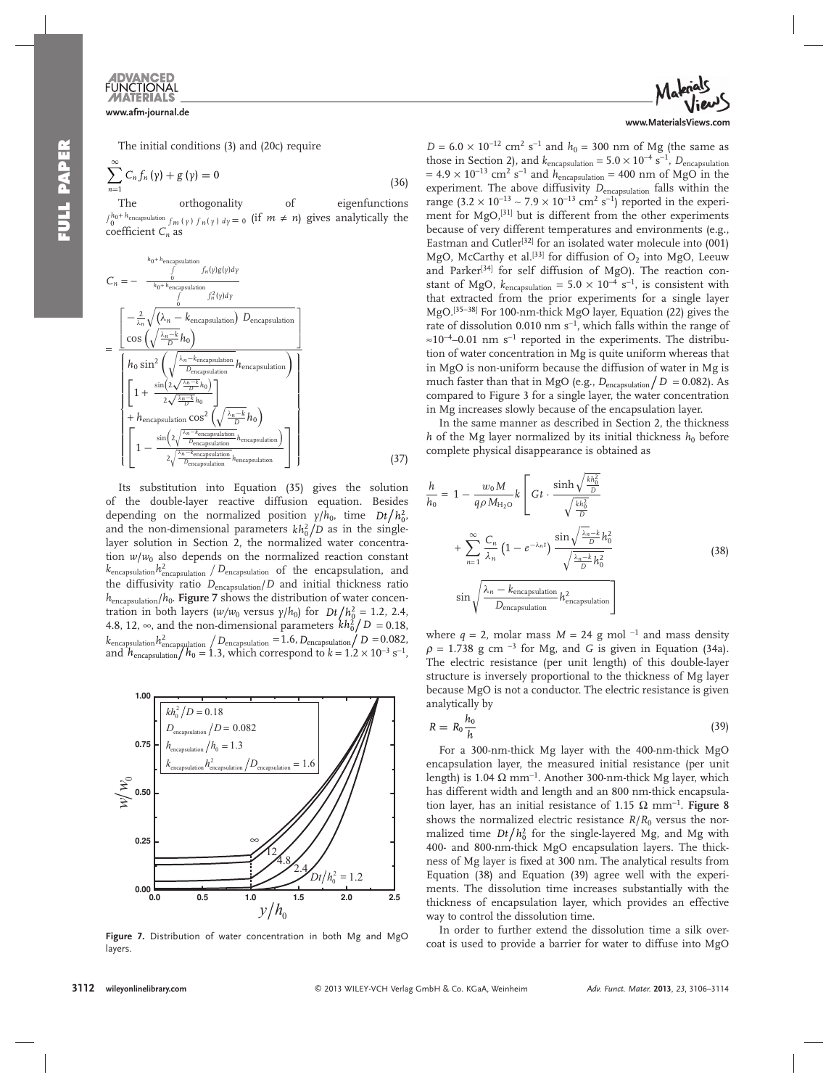The initial conditions (3) and (20c) require

$$
\sum_{n=1}^{\infty} C_n f_n(\gamma) + g(\gamma) = 0
$$
\n(36)

The orthogonality of eigenfunctions  $\int_0^{h_0 + h_{\text{encapsulation}}} f_m(y) f_n(y) dy = 0$  (if  $m \neq n$ ) gives analytically the coefficient  $C_n$  as

$$
C_{n} = - \frac{\int_{0}^{h_{0}+h_{\text{encapsulation}}}\int_{n\{y\}}f_{n}(y)g(y)dy}{\int_{0}^{h_{0}+h_{\text{encapsulation}}}\int_{0}^{2}f_{n}^{2}(y)dy}
$$
\n
$$
= \frac{\left[-\frac{2}{\lambda_{n}}\sqrt{(\lambda_{n}-k_{\text{encapsulation}}) D_{\text{encapsulation}}}\right]}{h_{0}\sin^{2}\left(\sqrt{\frac{\lambda_{n}-k_{\text{encapsulation}}}{D_{\text{encapsulation}}}}h_{\text{encapsulation}}\right)}{\left[1+\frac{\sin(2\sqrt{\frac{\lambda_{n}-k_{\text{encapsulation}}}{D}}h_{0})}{2\sqrt{\frac{\lambda_{n}-k}{D}}h_{0}}\right]} + h_{\text{encapsulation}}\cos^{2}\left(\sqrt{\frac{\lambda_{n}-k}{D}}h_{0}\right)}
$$
\n
$$
\left[1-\frac{\sin(2\sqrt{\frac{\lambda_{n}-k_{\text{encapsulation}}}{D}}h_{\text{encapsulation}})}{2\sqrt{\frac{\lambda_{n}-k_{\text{encapsulation}}}{D_{\text{encapsulation}}}}h_{\text{encapsulation}}}\right]
$$
\n(37)

 Its substitution into Equation (35) gives the solution of the double-layer reactive diffusion equation. Besides depending on the normalized position  $\gamma/h_0$ , time  $Dt/h_0^2$ , and the non-dimensional parameters  $kh_0^2/D$  as in the singlelayer solution in Section 2, the normalized water concentration  $w/w_0$  also depends on the normalized reaction constant  $k_{\rm encapsulation} h_{\rm encapsulation}^2$  /  $D_{\rm encapsulation}$  of the encapsulation, and the diffusivity ratio  $D_{\text{encapsulation}}/D$  and initial thickness ratio  $h_{\text{encapsulation}}/h_0$ . **Figure** 7 shows the distribution of water concentration in both layers ( $w/w_0$  versus  $\gamma/h_0$ ) for  $Dt/h_0^2 = 1.2, 2.4,$ 4.8, 12,  $\infty$ , and the non-dimensional parameters  $kh_0^2/D = 0.18$ ,  $k_{\mathrm{encapsulation}} h_{\mathrm{encapsulation}}^2 \big/ D_{\mathrm{encapsulation}} = 1.6, D_{\mathrm{encapsulation}} \big/ D = 0.082,$ and  $h_{\text{encapsulation}}/h_0 = 1.3$ , which correspond to  $k = 1.2 \times 10^{-3} \text{ s}^{-1}$ ,



Figure 7. Distribution of water concentration in both Mg and MgO layers.



 $D = 6.0 \times 10^{-12}$  cm<sup>2</sup> s<sup>-1</sup> and  $h_0 = 300$  nm of Mg (the same as those in Section 2), and  $k_{\text{encapsulation}} = 5.0 \times 10^{-4} \text{ s}^{-1}$ ,  $D_{\text{encapsulation}}$  $= 4.9 \times 10^{-13}$  cm<sup>2</sup> s<sup>-1</sup> and  $h_{\text{encapsulation}} = 400$  nm of MgO in the experiment. The above diffusivity  $D_{\text{encapsulation}}$  falls within the range (3.2 × 10<sup>-13</sup> ~ 7.9 × 10<sup>-13</sup> cm<sup>2</sup> s<sup>-1</sup>) reported in the experiment for MgO,<sup>[31]</sup> but is different from the other experiments because of very different temperatures and environments (e.g., Eastman and Cutler<sup>[32]</sup> for an isolated water molecule into  $(001)$ MgO, McCarthy et al.<sup>[33]</sup> for diffusion of  $O_2$  into MgO, Leeuw and Parker<sup>[34]</sup> for self diffusion of MgO). The reaction constant of MgO,  $k_{\text{encapsulation}} = 5.0 \times 10^{-4} \text{ s}^{-1}$ , is consistent with that extracted from the prior experiments for a single layer MgO.<sup>[35–38]</sup> For 100-nm-thick MgO layer, Equation (22) gives the rate of dissolution 0.010 nm s<sup>-1</sup>, which falls within the range of  $\approx 10^{-4}$ –0.01 nm s<sup>-1</sup> reported in the experiments. The distribution of water concentration in Mg is quite uniform whereas that in MgO is non-uniform because the diffusion of water in Mg is much faster than that in MgO (e.g.,  $D_{\text{encapsulation}}/D = 0.082$ ). As compared to Figure 3 for a single layer, the water concentration in Mg increases slowly because of the encapsulation layer.

 In the same manner as described in Section 2, the thickness *h* of the Mg layer normalized by its initial thickness  $h_0$  before complete physical disappearance is obtained as

$$
\frac{h}{h_0} = 1 - \frac{w_0 M}{q \rho M_{\text{H}_2\text{O}}} k \left[ Gt \cdot \frac{\sinh\sqrt{\frac{kh_0^2}{D}}}{\sqrt{\frac{kh_0^2}{D}}} + \sum_{n=1}^{\infty} \frac{C_n}{\lambda_n} \left( 1 - e^{-\lambda_n t} \right) \frac{\sin\sqrt{\frac{\lambda_n - k}{D}} h_0^2}{\sqrt{\frac{\lambda_n - k}{D}} h_0^2} \right]
$$
\n
$$
\sin\sqrt{\frac{\lambda_n - k_{\text{encapsulation}}}{D_{\text{encapsulation}}} h_{\text{encapsulation}}^2} \tag{38}
$$

where  $q = 2$ , molar mass  $M = 24$  g mol<sup>-1</sup> and mass density  $\rho = 1.738$  g cm<sup>-3</sup> for Mg, and *G* is given in Equation (34a). The electric resistance (per unit length) of this double-layer structure is inversely proportional to the thickness of Mg layer because MgO is not a conductor. The electric resistance is given analytically by

$$
R = R_0 \frac{h_0}{h} \tag{39}
$$

 For a 300-nm-thick Mg layer with the 400-nm-thick MgO encapsulation layer, the measured initial resistance (per unit length) is 1.04  $\Omega$  mm<sup>-1</sup>. Another 300-nm-thick Mg layer, which has different width and length and an 800 nm-thick encapsulation layer, has an initial resistance of 1.15  $Ω~mm^{-1}$ . **Figure** 8 shows the normalized electric resistance  $R/R_0$  versus the normalized time  $Dt/h_0^2$  for the single-layered Mg, and Mg with 400- and 800-nm-thick MgO encapsulation layers. The thickness of Mg layer is fixed at 300 nm. The analytical results from Equation (38) and Equation (39) agree well with the experiments. The dissolution time increases substantially with the thickness of encapsulation layer, which provides an effective way to control the dissolution time.

 In order to further extend the dissolution time a silk overcoat is used to provide a barrier for water to diffuse into MgO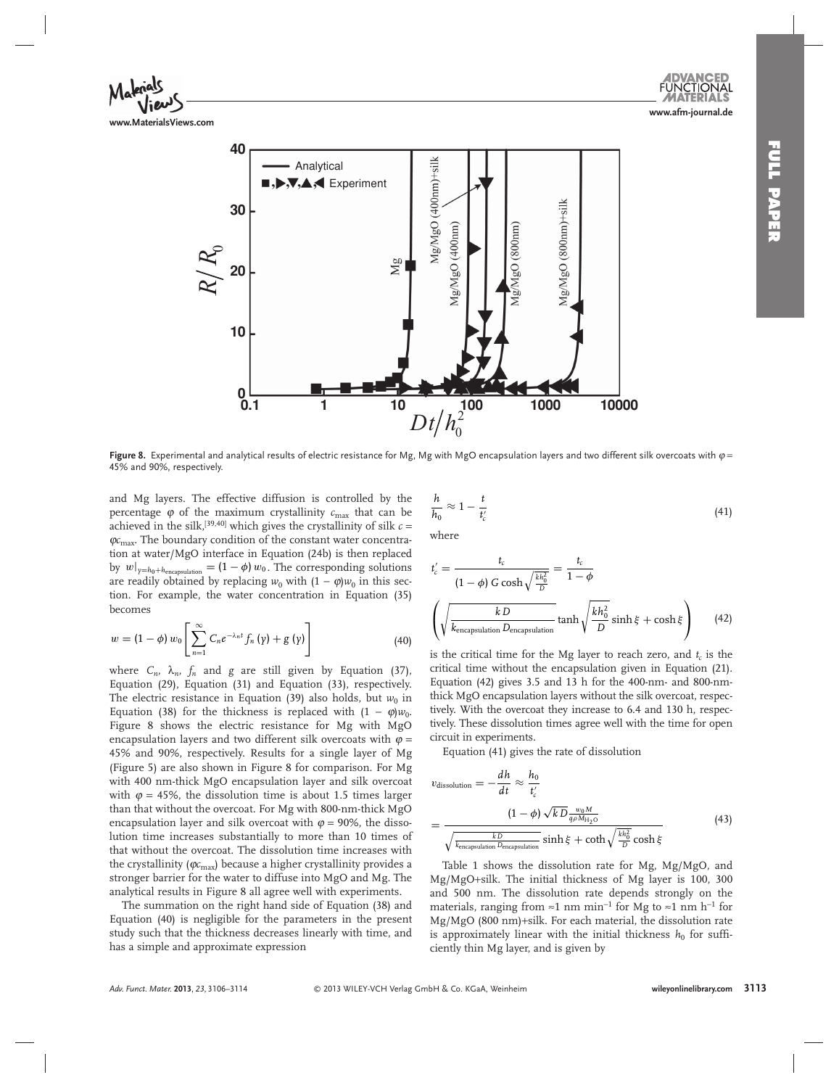



**Figure 8.** Experimental and analytical results of electric resistance for Mg, Mg with MgO encapsulation layers and two different silk overcoats with  $\varphi$  = 45% and 90%, respectively.

and Mg layers. The effective diffusion is controlled by the percentage  $\varphi$  of the maximum crystallinity  $c_{\text{max}}$  that can be achieved in the silk,<sup>[39,40]</sup> which gives the crystallinity of silk  $c =$  $\varphi c_{\text{max}}$ . The boundary condition of the constant water concentration at water/MgO interface in Equation (24b) is then replaced by  $w|_{y=h_0+h_{\text{encapsulation}}} = (1-\phi) w_0$ . The corresponding solutions are readily obtained by replacing  $w_0$  with  $(1 - \varphi)w_0$  in this section. For example, the water concentration in Equation (35) becomes

$$
w = (1 - \phi) w_0 \left[ \sum_{n=1}^{\infty} C_n e^{-\lambda_n t} f_n (y) + g (y) \right]
$$
 (40)

where  $C_n$ ,  $\lambda_n$ ,  $f_n$  and  $g$  are still given by Equation (37), Equation  $(29)$ , Equation  $(31)$  and Equation  $(33)$ , respectively. The electric resistance in Equation (39) also holds, but  $w_0$  in Equation (38) for the thickness is replaced with  $(1 - \varphi)w_0$ . Figure 8 shows the electric resistance for Mg with MgO encapsulation layers and two different silk overcoats with  $\varphi =$ 45% and 90%, respectively. Results for a single layer of Mg (Figure 5) are also shown in Figure 8 for comparison. For Mg with 400 nm-thick MgO encapsulation layer and silk overcoat with  $\varphi = 45\%$ , the dissolution time is about 1.5 times larger than that without the overcoat. For Mg with 800-nm-thick MgO encapsulation layer and silk overcoat with  $\varphi = 90\%$ , the dissolution time increases substantially to more than 10 times of that without the overcoat. The dissolution time increases with the crystallinity (*φc*<sub>max</sub>) because a higher crystallinity provides a stronger barrier for the water to diffuse into MgO and Mg. The analytical results in Figure 8 all agree well with experiments.

 The summation on the right hand side of Equation (38) and Equation (40) is negligible for the parameters in the present study such that the thickness decreases linearly with time, and has a simple and approximate expression

$$
\frac{h}{h_0} \approx 1 - \frac{t}{t'_c} \tag{41}
$$

where

$$
t'_{c} = \frac{t_{c}}{(1 - \phi) G \cosh\sqrt{\frac{kh_{0}^{2}}{D}}} = \frac{t_{c}}{1 - \phi}
$$

$$
\left(\sqrt{\frac{k D}{k_{\text{encapsulation}}} \tanh\sqrt{\frac{kh_{0}^{2}}{D}} \sinh\xi + \cosh\xi}\right) \qquad (42)
$$

is the critical time for the Mg layer to reach zero, and  $t_c$  is the critical time without the encapsulation given in Equation (21) . Equation (42) gives 3.5 and 13 h for the 400-nm- and 800-nmthick MgO encapsulation layers without the silk overcoat, respectively. With the overcoat they increase to 6.4 and 130 h, respectively. These dissolution times agree well with the time for open circuit in experiments.

Equation (41) gives the rate of dissolution

$$
v_{\text{dissolution}} = -\frac{dh}{dt} \approx \frac{h_0}{t'_c}
$$
  
= 
$$
\frac{(1 - \phi) \sqrt{k} \frac{w_0 M}{q \rho M_{H_2 O}}}{\sqrt{\frac{k}{k_{\text{encapsulation}}} \frac{b}{R_{\text{encapsulation}}} \sinh \xi + \coth \sqrt{\frac{k h_0^2}{D}} \cosh \xi}}
$$
(43)

Table 1 shows the dissolution rate for Mg, Mg/MgO, and Mg/MgO+silk. The initial thickness of Mg layer is 100, 300 and 500 nm. The dissolution rate depends strongly on the materials, ranging from ≈1 nm min<sup>-1</sup> for Mg to ≈1 nm h<sup>-1</sup> for Mg/MgO (800 nm)+silk. For each material, the dissolution rate is approximately linear with the initial thickness  $h_0$  for sufficiently thin Mg layer, and is given by